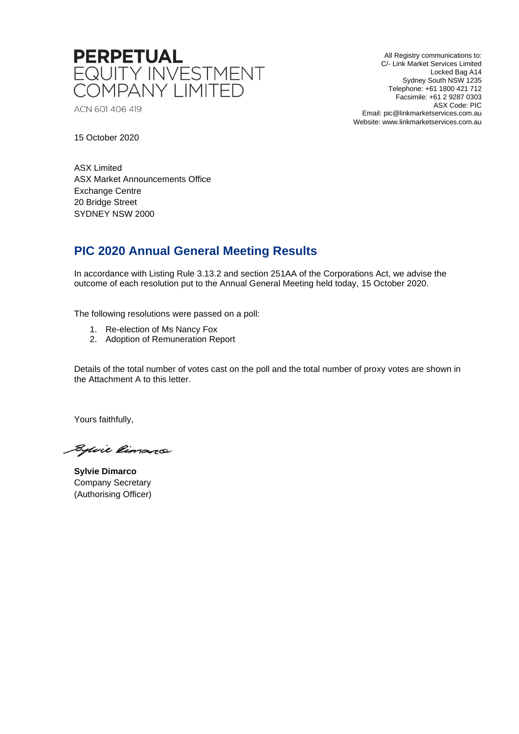

ACN 601 406 419

All Registry communications to: C/- Link Market Services Limited Locked Bag A14 Sydney South NSW 1235 Telephone: +61 1800 421 712 Facsimile: +61 2 9287 0303 ASX Code: PIC Email: pic@linkmarketservices.com.au Website: www.linkmarketservices.com.au

15 October 2020

ASX Limited ASX Market Announcements Office Exchange Centre 20 Bridge Street SYDNEY NSW 2000

## **PIC 2020 Annual General Meeting Results**

In accordance with Listing Rule 3.13.2 and section 251AA of the Corporations Act, we advise the outcome of each resolution put to the Annual General Meeting held today, 15 October 2020.

The following resolutions were passed on a poll:

- 1. Re-election of Ms Nancy Fox
- 2. Adoption of Remuneration Report

Details of the total number of votes cast on the poll and the total number of proxy votes are shown in the Attachment A to this letter.

Yours faithfully,

Sylvie Rimano

**Sylvie Dimarco** Company Secretary (Authorising Officer)